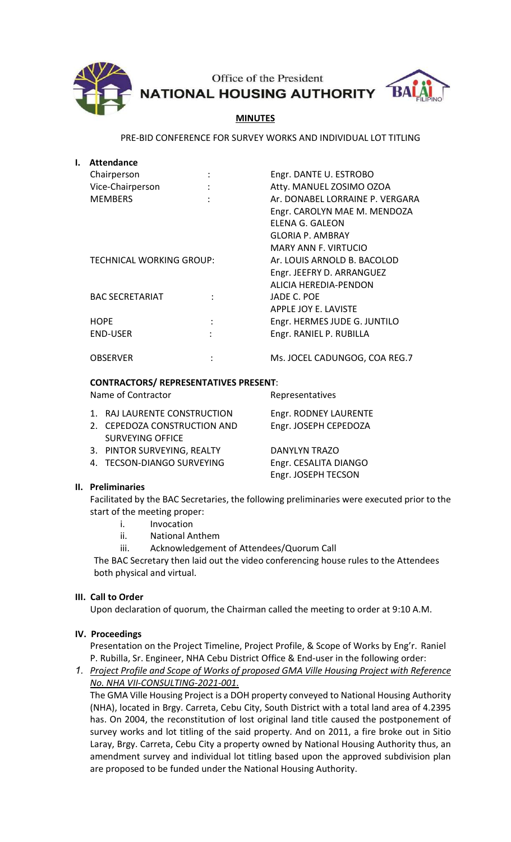

Office of the President **NATIONAL HOUSING AUTHORITY** 



## MINUTES

PRE-BID CONFERENCE FOR SURVEY WORKS AND INDIVIDUAL LOT TITLING

| ı. | Attendance               |                |                                 |
|----|--------------------------|----------------|---------------------------------|
|    | Chairperson              |                | Engr. DANTE U. ESTROBO          |
|    | Vice-Chairperson         |                | Atty. MANUEL ZOSIMO OZOA        |
|    | <b>MEMBERS</b>           |                | Ar. DONABEL LORRAINE P. VERGARA |
|    |                          |                | Engr. CAROLYN MAE M. MENDOZA    |
|    |                          |                | ELENA G. GALEON                 |
|    |                          |                | <b>GLORIA P. AMBRAY</b>         |
|    |                          |                | <b>MARY ANN F. VIRTUCIO</b>     |
|    | TECHNICAL WORKING GROUP: |                | Ar. LOUIS ARNOLD B. BACOLOD     |
|    |                          |                | Engr. JEEFRY D. ARRANGUEZ       |
|    |                          |                | ALICIA HEREDIA-PENDON           |
|    | <b>BAC SECRETARIAT</b>   |                | JADE C. POE                     |
|    |                          |                | APPLE JOY E. LAVISTE            |
|    | <b>HOPE</b>              | $\ddot{\cdot}$ | Engr. HERMES JUDE G. JUNTILO    |
|    | <b>END-USER</b>          |                | Engr. RANIEL P. RUBILLA         |
|    | <b>OBSERVER</b>          |                | Ms. JOCEL CADUNGOG, COA REG.7   |

### CONTRACTORS/ REPRESENTATIVES PRESENT:

Name of Contractor **Representatives** 

| 1. RAJ LAURENTE CONSTRUCTION | Engr. RODNEY LAURENTE |
|------------------------------|-----------------------|
| 2. CEPEDOZA CONSTRUCTION AND | Engr. JOSEPH CEPEDOZA |
| <b>SURVEYING OFFICE</b>      |                       |
| 3. PINTOR SURVEYING, REALTY  | <b>DANYLYN TRAZO</b>  |
| 4. TECSON-DIANGO SURVEYING   | Engr. CESALITA DIANGO |
|                              | Engr. JOSEPH TECSON   |

### II. Preliminaries

 Facilitated by the BAC Secretaries, the following preliminaries were executed prior to the start of the meeting proper:

- i. Invocation
- ii. National Anthem
- iii. Acknowledgement of Attendees/Quorum Call

The BAC Secretary then laid out the video conferencing house rules to the Attendees both physical and virtual.

### III. Call to Order

Upon declaration of quorum, the Chairman called the meeting to order at 9:10 A.M.

### IV. Proceedings

 Presentation on the Project Timeline, Project Profile, & Scope of Works by Eng'r. Raniel P. Rubilla, Sr. Engineer, NHA Cebu District Office & End-user in the following order:

1. Project Profile and Scope of Works of proposed GMA Ville Housing Project with Reference No. NHA VII-CONSULTING-2021-001.

The GMA Ville Housing Project is a DOH property conveyed to National Housing Authority (NHA), located in Brgy. Carreta, Cebu City, South District with a total land area of 4.2395 has. On 2004, the reconstitution of lost original land title caused the postponement of survey works and lot titling of the said property. And on 2011, a fire broke out in Sitio Laray, Brgy. Carreta, Cebu City a property owned by National Housing Authority thus, an amendment survey and individual lot titling based upon the approved subdivision plan are proposed to be funded under the National Housing Authority.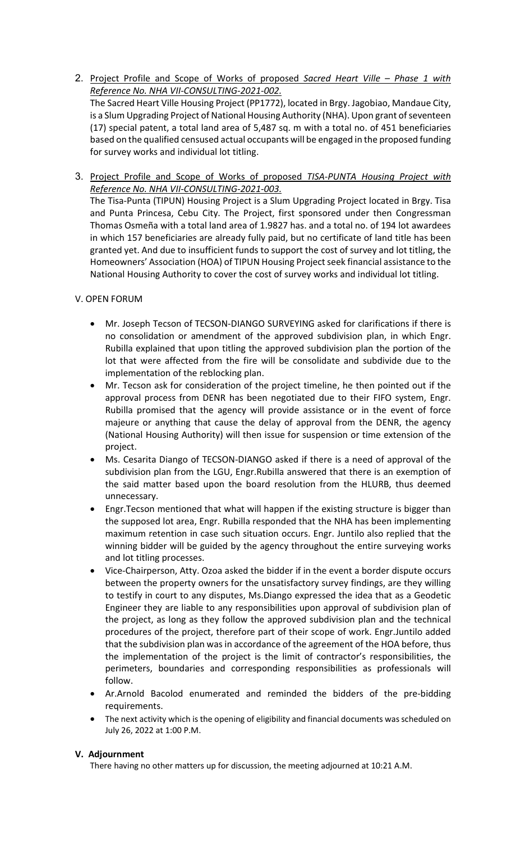2. Project Profile and Scope of Works of proposed Sacred Heart Ville – Phase 1 with Reference No. NHA VII-CONSULTING-2021-002.

The Sacred Heart Ville Housing Project (PP1772), located in Brgy. Jagobiao, Mandaue City, is a Slum Upgrading Project of National Housing Authority (NHA). Upon grant of seventeen (17) special patent, a total land area of 5,487 sq. m with a total no. of 451 beneficiaries based on the qualified censused actual occupants will be engaged in the proposed funding for survey works and individual lot titling.

3. Project Profile and Scope of Works of proposed TISA-PUNTA Housing Project with Reference No. NHA VII-CONSULTING-2021-003.

The Tisa-Punta (TIPUN) Housing Project is a Slum Upgrading Project located in Brgy. Tisa and Punta Princesa, Cebu City. The Project, first sponsored under then Congressman Thomas Osmeña with a total land area of 1.9827 has. and a total no. of 194 lot awardees in which 157 beneficiaries are already fully paid, but no certificate of land title has been granted yet. And due to insufficient funds to support the cost of survey and lot titling, the Homeowners' Association (HOA) of TIPUN Housing Project seek financial assistance to the National Housing Authority to cover the cost of survey works and individual lot titling.

### V. OPEN FORUM

- Mr. Joseph Tecson of TECSON-DIANGO SURVEYING asked for clarifications if there is no consolidation or amendment of the approved subdivision plan, in which Engr. Rubilla explained that upon titling the approved subdivision plan the portion of the lot that were affected from the fire will be consolidate and subdivide due to the implementation of the reblocking plan.
- Mr. Tecson ask for consideration of the project timeline, he then pointed out if the approval process from DENR has been negotiated due to their FIFO system, Engr. Rubilla promised that the agency will provide assistance or in the event of force majeure or anything that cause the delay of approval from the DENR, the agency (National Housing Authority) will then issue for suspension or time extension of the project.
- Ms. Cesarita Diango of TECSON-DIANGO asked if there is a need of approval of the subdivision plan from the LGU, Engr.Rubilla answered that there is an exemption of the said matter based upon the board resolution from the HLURB, thus deemed unnecessary.
- Engr.Tecson mentioned that what will happen if the existing structure is bigger than the supposed lot area, Engr. Rubilla responded that the NHA has been implementing maximum retention in case such situation occurs. Engr. Juntilo also replied that the winning bidder will be guided by the agency throughout the entire surveying works and lot titling processes.
- Vice-Chairperson, Atty. Ozoa asked the bidder if in the event a border dispute occurs between the property owners for the unsatisfactory survey findings, are they willing to testify in court to any disputes, Ms.Diango expressed the idea that as a Geodetic Engineer they are liable to any responsibilities upon approval of subdivision plan of the project, as long as they follow the approved subdivision plan and the technical procedures of the project, therefore part of their scope of work. Engr.Juntilo added that the subdivision plan was in accordance of the agreement of the HOA before, thus the implementation of the project is the limit of contractor's responsibilities, the perimeters, boundaries and corresponding responsibilities as professionals will follow.
- Ar.Arnold Bacolod enumerated and reminded the bidders of the pre-bidding requirements.
- The next activity which is the opening of eligibility and financial documents was scheduled on July 26, 2022 at 1:00 P.M.

### V. Adjournment

There having no other matters up for discussion, the meeting adjourned at 10:21 A.M.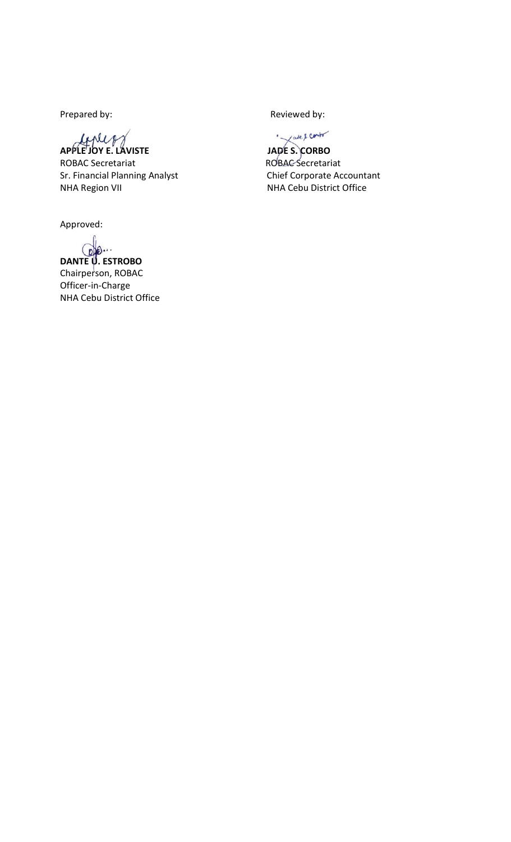Prepared by: The parent of the Reviewed by:

APPLE JOY E. LAVISTE JAPE S. CORBO

ROBAC Secretariat **ROBAC** Secretariat Sr. Financial Planning Analyst Chief Corporate Accountant NHA Region VII **NHA Cebu District Office** 

Approved:

DANTE U. ESTROBO Chairperson, ROBAC Officer-in-Charge NHA Cebu District Office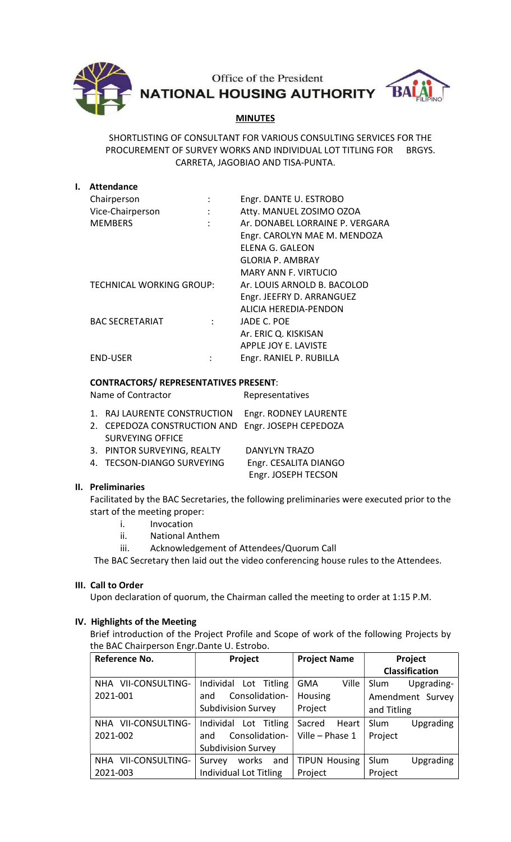

Office of the President NATIONAL HOUSING AUTHORITY BA

# **MINUTES**

SHORTLISTING OF CONSULTANT FOR VARIOUS CONSULTING SERVICES FOR THE PROCUREMENT OF SURVEY WORKS AND INDIVIDUAL LOT TITLING FOR BRGYS. CARRETA, JAGOBIAO AND TISA-PUNTA.

| <b>Attendance</b>        |   |                                 |
|--------------------------|---|---------------------------------|
| Chairperson              |   | Engr. DANTE U. ESTROBO          |
| Vice-Chairperson         | ÷ | Atty. MANUEL ZOSIMO OZOA        |
| <b>MEMBERS</b>           |   | Ar. DONABEL LORRAINE P. VERGARA |
|                          |   | Engr. CAROLYN MAE M. MENDOZA    |
|                          |   | ELENA G. GALEON                 |
|                          |   | GLORIA P. AMBRAY                |
|                          |   | MARY ANN F. VIRTUCIO            |
| TECHNICAL WORKING GROUP: |   | Ar. LOUIS ARNOLD B. BACOLOD     |
|                          |   | Engr. JEEFRY D. ARRANGUEZ       |
|                          |   | ALICIA HEREDIA-PENDON           |
| <b>BAC SECRETARIAT</b>   |   | JADE C. POE                     |
|                          |   | Ar. ERIC Q. KISKISAN            |
|                          |   | APPLE JOY E. LAVISTE            |
| END-USER                 |   | Engr. RANIEL P. RUBILLA         |
|                          |   |                                 |

### CONTRACTORS/ REPRESENTATIVES PRESENT:

Name of Contractor **Representatives** 

| 1. RAJ LAURENTE CONSTRUCTION Engr. RODNEY LAURENTE |                       |
|----------------------------------------------------|-----------------------|
| 2. CEPEDOZA CONSTRUCTION AND Engr. JOSEPH CEPEDOZA |                       |
| <b>SURVEYING OFFICE</b>                            |                       |
| 3. PINTOR SURVEYING, REALTY                        | <b>DANYLYN TRAZO</b>  |
| 4. TECSON-DIANGO SURVEYING                         | Engr. CESALITA DIANGO |
|                                                    | Engr. JOSEPH TECSON   |

### II. Preliminaries

 Facilitated by the BAC Secretaries, the following preliminaries were executed prior to the start of the meeting proper:

- i. Invocation
- ii. National Anthem
- iii. Acknowledgement of Attendees/Quorum Call

The BAC Secretary then laid out the video conferencing house rules to the Attendees.

### III. Call to Order

Upon declaration of quorum, the Chairman called the meeting to order at 1:15 P.M.

### IV. Highlights of the Meeting

Brief introduction of the Project Profile and Scope of work of the following Projects by the BAC Chairperson Engr.Dante U. Estrobo.

| Reference No.                 | Project                       | <b>Project Name</b>  | Project               |
|-------------------------------|-------------------------------|----------------------|-----------------------|
|                               |                               |                      | <b>Classification</b> |
| NHA VII-CONSULTING-           | Individal Lot Titling         | Ville<br><b>GMA</b>  | Slum<br>Upgrading-    |
| 2021-001                      | Consolidation-<br>and         | Housing              | Amendment Survey      |
|                               | <b>Subdivision Survey</b>     | Project              | and Titling           |
| NHA VII-CONSULTING-           | Individal Lot Titling         | Sacred<br>Heart      | Slum<br>Upgrading     |
| 2021-002                      | Consolidation-<br>and         | Ville - Phase 1      | Project               |
|                               | <b>Subdivision Survey</b>     |                      |                       |
| VII-CONSULTING-<br><b>NHA</b> | and<br>works<br>Survey        | <b>TIPUN Housing</b> | Slum<br>Upgrading     |
| 2021-003                      | <b>Individual Lot Titling</b> | Project              | Project               |